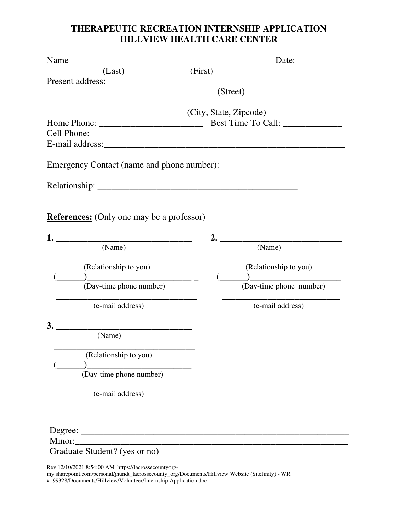## **THERAPEUTIC RECREATION INTERNSHIP APPLICATION HILLVIEW HEALTH CARE CENTER**

| Name                                                                              |                        | Date:                                            |
|-----------------------------------------------------------------------------------|------------------------|--------------------------------------------------|
| (Last)<br>Present address:<br><u> 1988 - Johann Barbara, martin amerikan basa</u> | (First)                |                                                  |
|                                                                                   |                        | (Street)                                         |
|                                                                                   | (City, State, Zipcode) |                                                  |
| Emergency Contact (name and phone number):                                        |                        |                                                  |
|                                                                                   |                        |                                                  |
| <b>References:</b> (Only one may be a professor)                                  |                        | 2.                                               |
| (Name)                                                                            |                        | (Name)                                           |
| (Relationship to you)<br>(Day-time phone number)                                  |                        | (Relationship to you)<br>(Day-time phone number) |
| (e-mail address)                                                                  |                        | (e-mail address)                                 |
| 3.<br>(Name)                                                                      |                        |                                                  |
| (Relationship to you)                                                             |                        |                                                  |
| (Day-time phone number)                                                           |                        |                                                  |
| (e-mail address)                                                                  |                        |                                                  |
|                                                                                   |                        |                                                  |
|                                                                                   |                        |                                                  |
|                                                                                   |                        |                                                  |

Rev 12/10/2021 8:54:00 AM https://lacrossecountyorgmy.sharepoint.com/personal/jhundt\_lacrossecounty\_org/Documents/Hillview Website (Sitefinity) - WR #199328/Documents/Hillview/Volunteer/Internship Application.doc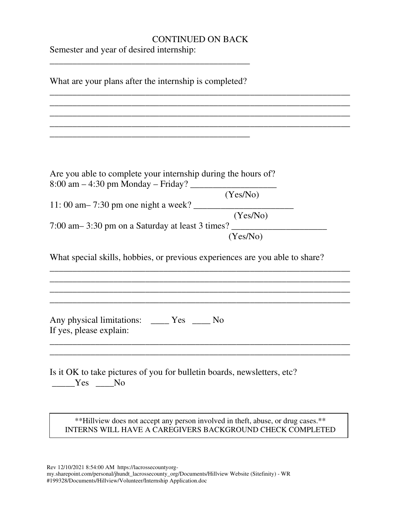## CONTINUED ON BACK

Semester and year of desired internship:

\_\_\_\_\_\_\_\_\_\_\_\_\_\_\_\_\_\_\_\_\_\_\_\_\_\_\_\_\_\_\_\_\_\_\_\_\_\_\_\_\_\_\_\_

What are your plans after the internship is completed? \_\_\_\_\_\_\_\_\_\_\_\_\_\_\_\_\_\_\_\_\_\_\_\_\_\_\_\_\_\_\_\_\_\_\_\_\_\_\_\_\_\_\_\_\_\_\_\_\_\_\_\_\_\_\_\_\_\_\_\_\_\_\_\_\_\_ \_\_\_\_\_\_\_\_\_\_\_\_\_\_\_\_\_\_\_\_\_\_\_\_\_\_\_\_\_\_\_\_\_\_\_\_\_\_\_\_\_\_\_\_\_\_\_\_\_\_\_\_\_\_\_\_\_\_\_\_\_\_\_\_\_\_ \_\_\_\_\_\_\_\_\_\_\_\_\_\_\_\_\_\_\_\_\_\_\_\_\_\_\_\_\_\_\_\_\_\_\_\_\_\_\_\_\_\_\_\_\_\_\_\_\_\_\_\_\_\_\_\_\_\_\_\_\_\_\_\_\_\_ \_\_\_\_\_\_\_\_\_\_\_\_\_\_\_\_\_\_\_\_\_\_\_\_\_\_\_\_\_\_\_\_\_\_\_\_\_\_\_\_\_\_\_\_\_\_\_\_\_\_\_\_\_\_\_\_\_\_\_\_\_\_\_\_\_\_ \_\_\_\_\_\_\_\_\_\_\_\_\_\_\_\_\_\_\_\_\_\_\_\_\_\_\_\_\_\_\_\_\_\_\_\_\_\_\_\_\_\_\_\_ Are you able to complete your internship during the hours of?  $8:00 \text{ am} - 4:30 \text{ pm}$  Monday – Friday? (Yes/No)  $11: 00 \text{ am} - 7:30 \text{ pm}$  one night a week? (Yes/No) 7:00 am – 3:30 pm on a Saturday at least 3 times? (Yes/No) What special skills, hobbies, or previous experiences are you able to share? \_\_\_\_\_\_\_\_\_\_\_\_\_\_\_\_\_\_\_\_\_\_\_\_\_\_\_\_\_\_\_\_\_\_\_\_\_\_\_\_\_\_\_\_\_\_\_\_\_\_\_\_\_\_\_\_\_\_\_\_\_\_\_\_\_\_ \_\_\_\_\_\_\_\_\_\_\_\_\_\_\_\_\_\_\_\_\_\_\_\_\_\_\_\_\_\_\_\_\_\_\_\_\_\_\_\_\_\_\_\_\_\_\_\_\_\_\_\_\_\_\_\_\_\_\_\_\_\_\_\_\_\_ \_\_\_\_\_\_\_\_\_\_\_\_\_\_\_\_\_\_\_\_\_\_\_\_\_\_\_\_\_\_\_\_\_\_\_\_\_\_\_\_\_\_\_\_\_\_\_\_\_\_\_\_\_\_\_\_\_\_\_\_\_\_\_\_\_\_ \_\_\_\_\_\_\_\_\_\_\_\_\_\_\_\_\_\_\_\_\_\_\_\_\_\_\_\_\_\_\_\_\_\_\_\_\_\_\_\_\_\_\_\_\_\_\_\_\_\_\_\_\_\_\_\_\_\_\_\_\_\_\_\_\_\_ Any physical limitations: \_\_\_\_ Yes \_\_\_\_ No If yes, please explain: \_\_\_\_\_\_\_\_\_\_\_\_\_\_\_\_\_\_\_\_\_\_\_\_\_\_\_\_\_\_\_\_\_\_\_\_\_\_\_\_\_\_\_\_\_\_\_\_\_\_\_\_\_\_\_\_\_\_\_\_\_\_\_\_\_\_ \_\_\_\_\_\_\_\_\_\_\_\_\_\_\_\_\_\_\_\_\_\_\_\_\_\_\_\_\_\_\_\_\_\_\_\_\_\_\_\_\_\_\_\_\_\_\_\_\_\_\_\_\_\_\_\_\_\_\_\_\_\_\_\_\_\_ Is it OK to take pictures of you for bulletin boards, newsletters, etc? \_\_\_\_\_Yes \_\_\_\_No \*\*Hillview does not accept any person involved in theft, abuse, or drug cases.\*\* INTERNS WILL HAVE A CAREGIVERS BACKGROUND CHECK COMPLETED